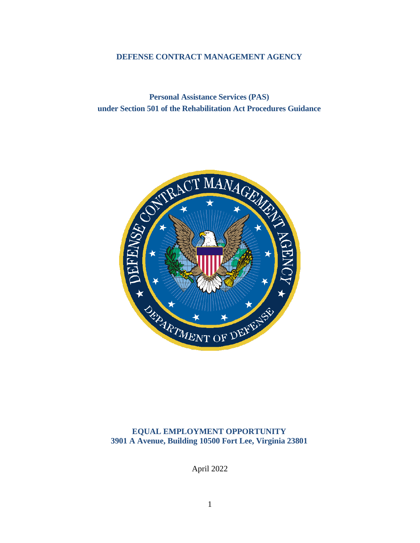## **DEFENSE CONTRACT MANAGEMENT AGENCY**

**Personal Assistance Services (PAS) under Section 501 of the Rehabilitation Act Procedures Guidance**



**EQUAL EMPLOYMENT OPPORTUNITY 3901 A Avenue, Building 10500 Fort Lee, Virginia 23801**

April 2022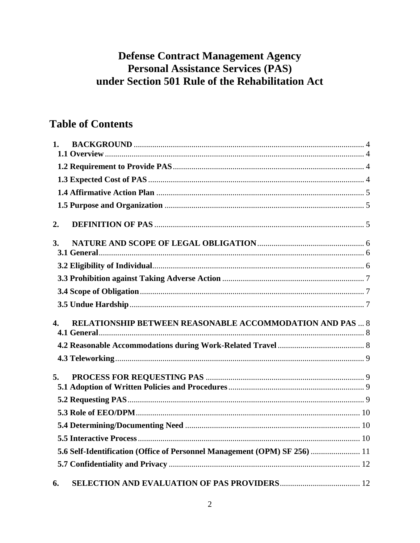# **Defense Contract Management Agency Personal Assistance Services (PAS)** under Section 501 Rule of the Rehabilitation Act

# **Table of Contents**

| 1.             |                                                                           |  |
|----------------|---------------------------------------------------------------------------|--|
|                |                                                                           |  |
|                |                                                                           |  |
|                |                                                                           |  |
|                |                                                                           |  |
| 2.             |                                                                           |  |
| <b>3.</b>      |                                                                           |  |
|                |                                                                           |  |
|                |                                                                           |  |
|                |                                                                           |  |
|                |                                                                           |  |
| $\mathbf{4}$ . | <b>RELATIONSHIP BETWEEN REASONABLE ACCOMMODATION AND PAS  8</b>           |  |
|                |                                                                           |  |
|                |                                                                           |  |
| 5.             |                                                                           |  |
|                |                                                                           |  |
|                |                                                                           |  |
|                |                                                                           |  |
|                |                                                                           |  |
|                | 5.6 Self-Identification (Office of Personnel Management (OPM) SF 256)  11 |  |
|                |                                                                           |  |
| 6.             |                                                                           |  |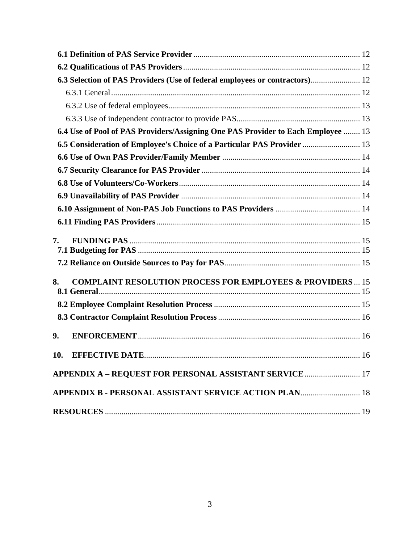| 6.3 Selection of PAS Providers (Use of federal employees or contractors) 12      |
|----------------------------------------------------------------------------------|
|                                                                                  |
|                                                                                  |
|                                                                                  |
| 6.4 Use of Pool of PAS Providers/Assigning One PAS Provider to Each Employee  13 |
| 6.5 Consideration of Employee's Choice of a Particular PAS Provider  13          |
|                                                                                  |
|                                                                                  |
|                                                                                  |
|                                                                                  |
|                                                                                  |
|                                                                                  |
| 7.                                                                               |
|                                                                                  |
| <b>COMPLAINT RESOLUTION PROCESS FOR EMPLOYEES &amp; PROVIDERS 15</b><br>8.       |
|                                                                                  |
|                                                                                  |
| 9.                                                                               |
| EFFECTIVE DATE<br>10.<br>16                                                      |
| <b>APPENDIX A - REQUEST FOR PERSONAL ASSISTANT SERVICE  17</b>                   |
| APPENDIX B - PERSONAL ASSISTANT SERVICE ACTION PLAN 18                           |
|                                                                                  |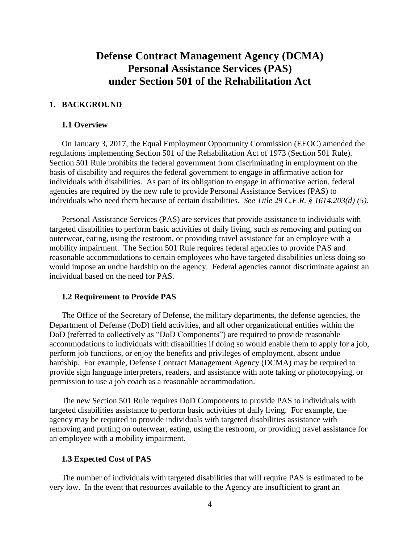# **Defense Contract Management Agency (DCMA) Personal Assistance Services (PAS) under Section 501 of the Rehabilitation Act**

## <span id="page-3-0"></span>**1. BACKGROUND**

#### <span id="page-3-1"></span>**1.1 Overview**

On January 3, 2017, the Equal Employment Opportunity Commission (EEOC) amended the regulations implementing Section 501 of the Rehabilitation Act of 1973 (Section 501 Rule). Section 501 Rule prohibits the federal government from discriminating in employment on the basis of disability and requires the federal government to engage in affirmative action for individuals with disabilities. As part of its obligation to engage in affirmative action, federal agencies are required by the new rule to provide Personal Assistance Services (PAS) to individuals who need them because of certain disabilities. *See Title* 29 *C.F.R. § 1614.203(d) (5).*

Personal Assistance Services (PAS) are services that provide assistance to individuals with targeted disabilities to perform basic activities of daily living, such as removing and putting on outerwear, eating, using the restroom, or providing travel assistance for an employee with a mobility impairment. The Section 501 Rule requires federal agencies to provide PAS and reasonable accommodations to certain employees who have targeted disabilities unless doing so would impose an undue hardship on the agency. Federal agencies cannot discriminate against an individual based on the need for PAS.

#### <span id="page-3-2"></span>**1.2 Requirement to Provide PAS**

The Office of the Secretary of Defense, the military departments, the defense agencies, the Department of Defense (DoD) field activities, and all other organizational entities within the DoD (referred to collectively as "DoD Components") are required to provide reasonable accommodations to individuals with disabilities if doing so would enable them to apply for a job, perform job functions, or enjoy the benefits and privileges of employment, absent undue hardship. For example, Defense Contract Management Agency (DCMA) may be required to provide sign language interpreters, readers, and assistance with note taking or photocopying, or permission to use a job coach as a reasonable accommodation.

The new Section 501 Rule requires DoD Components to provide PAS to individuals with targeted disabilities assistance to perform basic activities of daily living. For example, the agency may be required to provide individuals with targeted disabilities assistance with removing and putting on outerwear, eating, using the restroom, or providing travel assistance for an employee with a mobility impairment.

#### <span id="page-3-3"></span>**1.3 Expected Cost of PAS**

The number of individuals with targeted disabilities that will require PAS is estimated to be very low. In the event that resources available to the Agency are insufficient to grant an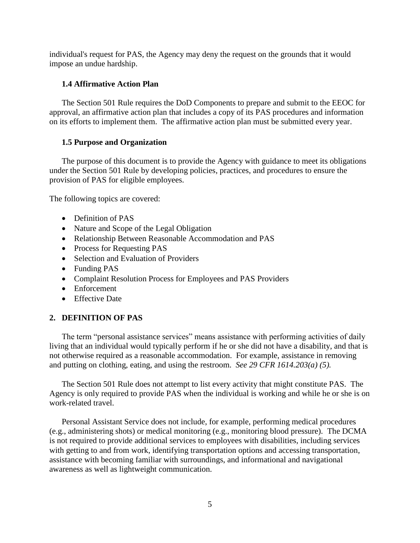individual's request for PAS, the Agency may deny the request on the grounds that it would impose an undue hardship.

## <span id="page-4-0"></span>**1.4 Affirmative Action Plan**

The Section 501 Rule requires the DoD Components to prepare and submit to the EEOC for approval, an affirmative action plan that includes a copy of its PAS procedures and information on its efforts to implement them. The affirmative action plan must be submitted every year.

## <span id="page-4-1"></span>**1.5 Purpose and Organization**

The purpose of this document is to provide the Agency with guidance to meet its obligations under the Section 501 Rule by developing policies, practices, and procedures to ensure the provision of PAS for eligible employees.

The following topics are covered:

- Definition of PAS
- Nature and Scope of the Legal Obligation
- Relationship Between Reasonable Accommodation and PAS
- Process for Requesting PAS
- Selection and Evaluation of Providers
- Funding PAS
- Complaint Resolution Process for Employees and PAS Providers
- Enforcement
- Effective Date

## <span id="page-4-2"></span>**2. DEFINITION OF PAS**

The term "personal assistance services" means assistance with performing activities of daily living that an individual would typically perform if he or she did not have a disability, and that is not otherwise required as a reasonable accommodation. For example, assistance in removing and putting on clothing, eating, and using the restroom. *See 29 CFR 1614.203(a) (5).*

The Section 501 Rule does not attempt to list every activity that might constitute PAS. The Agency is only required to provide PAS when the individual is working and while he or she is on work-related travel.

Personal Assistant Service does not include, for example, performing medical procedures (e.g., administering shots) or medical monitoring (e.g., monitoring blood pressure). The DCMA is not required to provide additional services to employees with disabilities, including services with getting to and from work, identifying transportation options and accessing transportation, assistance with becoming familiar with surroundings, and informational and navigational awareness as well as lightweight communication.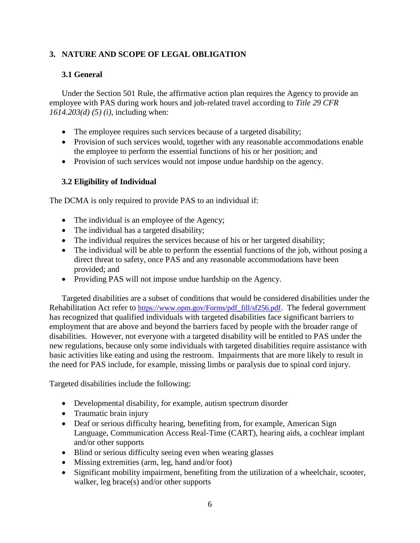## <span id="page-5-0"></span>**3. NATURE AND SCOPE OF LEGAL OBLIGATION**

## <span id="page-5-1"></span>**3.1 General**

Under the Section 501 Rule, the affirmative action plan requires the Agency to provide an employee with PAS during work hours and job-related travel according to *Title 29 CFR 1614.203(d) (5) (i)*, including when:

- The employee requires such services because of a targeted disability;
- Provision of such services would, together with any reasonable accommodations enable the employee to perform the essential functions of his or her position; and
- Provision of such services would not impose undue hardship on the agency.

## <span id="page-5-2"></span>**3.2 Eligibility of Individual**

The DCMA is only required to provide PAS to an individual if:

- The individual is an employee of the Agency;
- The individual has a targeted disability;
- The individual requires the services because of his or her targeted disability;
- The individual will be able to perform the essential functions of the job, without posing a direct threat to safety, once PAS and any reasonable accommodations have been provided; and
- Providing PAS will not impose undue hardship on the Agency.

Targeted disabilities are a subset of conditions that would be considered disabilities under the Rehabilitation Act refer to [https://www.opm.gov/Forms/pdf\\_fill/sf256.pdf](https://www.opm.gov/Forms/pdf_fill/sf256.pdf). The federal government has recognized that qualified individuals with targeted disabilities face significant barriers to employment that are above and beyond the barriers faced by people with the broader range of disabilities. However, not everyone with a targeted disability will be entitled to PAS under the new regulations, because only some individuals with targeted disabilities require assistance with basic activities like eating and using the restroom. Impairments that are more likely to result in the need for PAS include, for example, missing limbs or paralysis due to spinal cord injury.

Targeted disabilities include the following:

- Developmental disability, for example, autism spectrum disorder
- Traumatic brain injury
- Deaf or serious difficulty hearing, benefiting from, for example, American Sign Language, Communication Access Real-Time (CART), hearing aids, a cochlear implant and/or other supports
- Blind or serious difficulty seeing even when wearing glasses
- Missing extremities (arm, leg, hand and/or foot)
- Significant mobility impairment, benefiting from the utilization of a wheelchair, scooter, walker, leg brace(s) and/or other supports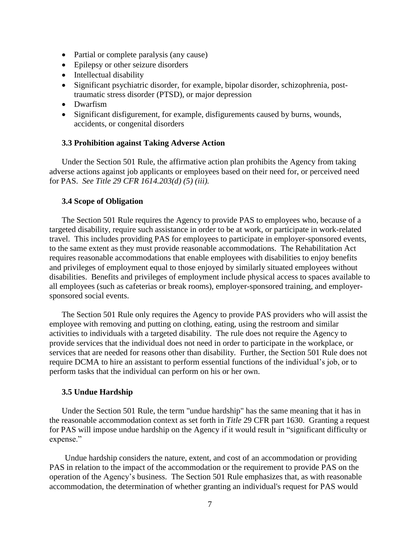- Partial or complete paralysis (any cause)
- Epilepsy or other seizure disorders
- Intellectual disability
- Significant psychiatric disorder, for example, bipolar disorder, schizophrenia, posttraumatic stress disorder (PTSD), or major depression
- Dwarfism
- Significant disfigurement, for example, disfigurements caused by burns, wounds, accidents, or congenital disorders

#### <span id="page-6-0"></span>**3.3 Prohibition against Taking Adverse Action**

Under the Section 501 Rule, the affirmative action plan prohibits the Agency from taking adverse actions against job applicants or employees based on their need for, or perceived need for PAS. *See Title 29 CFR 1614.203(d) (5) (iii).*

#### <span id="page-6-1"></span>**3.4 Scope of Obligation**

The Section 501 Rule requires the Agency to provide PAS to employees who, because of a targeted disability, require such assistance in order to be at work, or participate in work-related travel. This includes providing PAS for employees to participate in employer-sponsored events, to the same extent as they must provide reasonable accommodations. The Rehabilitation Act requires reasonable accommodations that enable employees with disabilities to enjoy benefits and privileges of employment equal to those enjoyed by similarly situated employees without disabilities. Benefits and privileges of employment include physical access to spaces available to all employees (such as cafeterias or break rooms), employer-sponsored training, and employersponsored social events.

The Section 501 Rule only requires the Agency to provide PAS providers who will assist the employee with removing and putting on clothing, eating, using the restroom and similar activities to individuals with a targeted disability. The rule does not require the Agency to provide services that the individual does not need in order to participate in the workplace, or services that are needed for reasons other than disability. Further, the Section 501 Rule does not require DCMA to hire an assistant to perform essential functions of the individual's job, or to perform tasks that the individual can perform on his or her own.

#### <span id="page-6-2"></span>**3.5 Undue Hardship**

Under the Section 501 Rule, the term "undue hardship" has the same meaning that it has in the reasonable accommodation context as set forth in *Title* 29 CFR part 1630. Granting a request for PAS will impose undue hardship on the Agency if it would result in "significant difficulty or expense."

Undue hardship considers the nature, extent, and cost of an accommodation or providing PAS in relation to the impact of the accommodation or the requirement to provide PAS on the operation of the Agency's business. The Section 501 Rule emphasizes that, as with reasonable accommodation, the determination of whether granting an individual's request for PAS would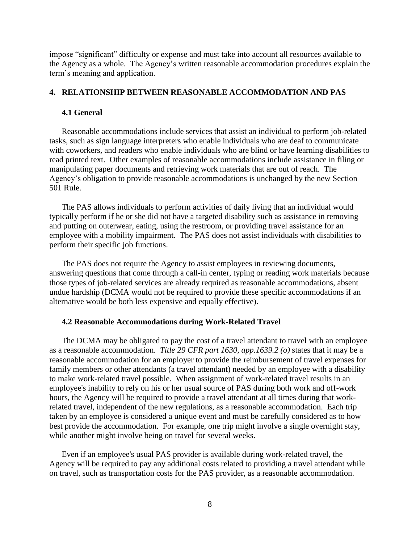impose "significant" difficulty or expense and must take into account all resources available to the Agency as a whole. The Agency's written reasonable accommodation procedures explain the term's meaning and application.

#### <span id="page-7-0"></span>**4. RELATIONSHIP BETWEEN REASONABLE ACCOMMODATION AND PAS**

#### <span id="page-7-1"></span>**4.1 General**

Reasonable accommodations include services that assist an individual to perform job-related tasks, such as sign language interpreters who enable individuals who are deaf to communicate with coworkers, and readers who enable individuals who are blind or have learning disabilities to read printed text. Other examples of reasonable accommodations include assistance in filing or manipulating paper documents and retrieving work materials that are out of reach. The Agency's obligation to provide reasonable accommodations is unchanged by the new Section 501 Rule.

The PAS allows individuals to perform activities of daily living that an individual would typically perform if he or she did not have a targeted disability such as assistance in removing and putting on outerwear, eating, using the restroom, or providing travel assistance for an employee with a mobility impairment. The PAS does not assist individuals with disabilities to perform their specific job functions.

The PAS does not require the Agency to assist employees in reviewing documents, answering questions that come through a call-in center, typing or reading work materials because those types of job-related services are already required as reasonable accommodations, absent undue hardship (DCMA would not be required to provide these specific accommodations if an alternative would be both less expensive and equally effective).

#### <span id="page-7-2"></span>**4.2 Reasonable Accommodations during Work-Related Travel**

The DCMA may be obligated to pay the cost of a travel attendant to travel with an employee as a reasonable accommodation. *Title 29 CFR part 1630, app.1639.2 (o)* states that it may be a reasonable accommodation for an employer to provide the reimbursement of travel expenses for family members or other attendants (a travel attendant) needed by an employee with a disability to make work-related travel possible. When assignment of work-related travel results in an employee's inability to rely on his or her usual source of PAS during both work and off-work hours, the Agency will be required to provide a travel attendant at all times during that workrelated travel, independent of the new regulations, as a reasonable accommodation. Each trip taken by an employee is considered a unique event and must be carefully considered as to how best provide the accommodation. For example, one trip might involve a single overnight stay, while another might involve being on travel for several weeks.

Even if an employee's usual PAS provider is available during work-related travel, the Agency will be required to pay any additional costs related to providing a travel attendant while on travel, such as transportation costs for the PAS provider, as a reasonable accommodation.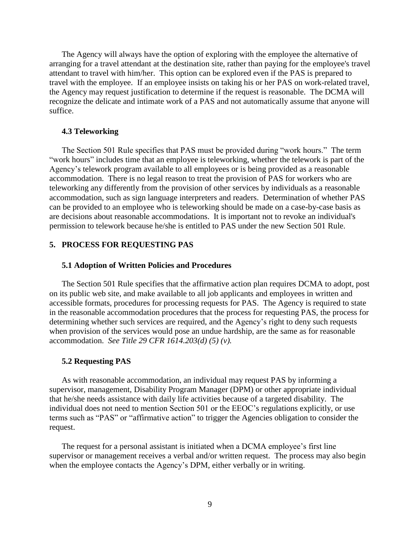The Agency will always have the option of exploring with the employee the alternative of arranging for a travel attendant at the destination site, rather than paying for the employee's travel attendant to travel with him/her. This option can be explored even if the PAS is prepared to travel with the employee. If an employee insists on taking his or her PAS on work-related travel, the Agency may request justification to determine if the request is reasonable. The DCMA will recognize the delicate and intimate work of a PAS and not automatically assume that anyone will suffice.

#### <span id="page-8-0"></span>**4.3 Teleworking**

The Section 501 Rule specifies that PAS must be provided during "work hours." The term "work hours" includes time that an employee is teleworking, whether the telework is part of the Agency's telework program available to all employees or is being provided as a reasonable accommodation. There is no legal reason to treat the provision of PAS for workers who are teleworking any differently from the provision of other services by individuals as a reasonable accommodation, such as sign language interpreters and readers. Determination of whether PAS can be provided to an employee who is teleworking should be made on a case-by-case basis as are decisions about reasonable accommodations. It is important not to revoke an individual's permission to telework because he/she is entitled to PAS under the new Section 501 Rule.

## <span id="page-8-1"></span>**5. PROCESS FOR REQUESTING PAS**

#### <span id="page-8-2"></span>**5.1 Adoption of Written Policies and Procedures**

The Section 501 Rule specifies that the affirmative action plan requires DCMA to adopt, post on its public web site, and make available to all job applicants and employees in written and accessible formats, procedures for processing requests for PAS. The Agency is required to state in the reasonable accommodation procedures that the process for requesting PAS, the process for determining whether such services are required, and the Agency's right to deny such requests when provision of the services would pose an undue hardship, are the same as for reasonable accommodation. *See Title 29 CFR 1614.203(d) (5) (v).*

#### <span id="page-8-3"></span>**5.2 Requesting PAS**

As with reasonable accommodation, an individual may request PAS by informing a supervisor, management, Disability Program Manager (DPM) or other appropriate individual that he/she needs assistance with daily life activities because of a targeted disability. The individual does not need to mention Section 501 or the EEOC's regulations explicitly, or use terms such as "PAS" or "affirmative action" to trigger the Agencies obligation to consider the request.

The request for a personal assistant is initiated when a DCMA employee's first line supervisor or management receives a verbal and/or written request. The process may also begin when the employee contacts the Agency's DPM, either verbally or in writing.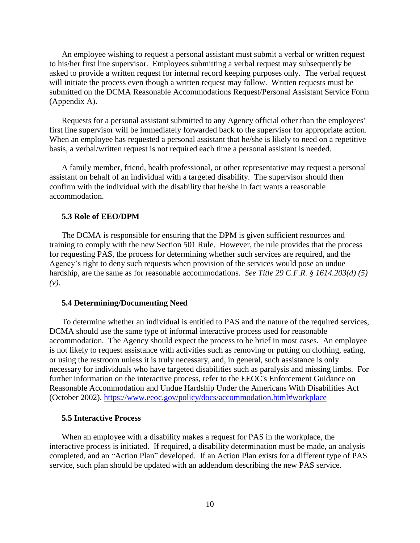An employee wishing to request a personal assistant must submit a verbal or written request to his/her first line supervisor. Employees submitting a verbal request may subsequently be asked to provide a written request for internal record keeping purposes only. The verbal request will initiate the process even though a written request may follow. Written requests must be submitted on the DCMA Reasonable Accommodations Request/Personal Assistant Service Form (Appendix A).

Requests for a personal assistant submitted to any Agency official other than the employees' first line supervisor will be immediately forwarded back to the supervisor for appropriate action. When an employee has requested a personal assistant that he/she is likely to need on a repetitive basis, a verbal/written request is not required each time a personal assistant is needed.

A family member, friend, health professional, or other representative may request a personal assistant on behalf of an individual with a targeted disability. The supervisor should then confirm with the individual with the disability that he/she in fact wants a reasonable accommodation.

#### <span id="page-9-0"></span>**5.3 Role of EEO/DPM**

The DCMA is responsible for ensuring that the DPM is given sufficient resources and training to comply with the new Section 501 Rule. However, the rule provides that the process for requesting PAS, the process for determining whether such services are required, and the Agency's right to deny such requests when provision of the services would pose an undue hardship, are the same as for reasonable accommodations. *See Title 29 C.F.R. § 1614.203(d) (5) (v)*.

#### <span id="page-9-1"></span>**5.4 Determining/Documenting Need**

To determine whether an individual is entitled to PAS and the nature of the required services, DCMA should use the same type of informal interactive process used for reasonable accommodation. The Agency should expect the process to be brief in most cases. An employee is not likely to request assistance with activities such as removing or putting on clothing, eating, or using the restroom unless it is truly necessary, and, in general, such assistance is only necessary for individuals who have targeted disabilities such as paralysis and missing limbs. For further information on the interactive process, refer to the EEOC's [Enforcement Guidance on](https://www.eeoc.gov/policy/docs/accommodation.html#requesting)  [Reasonable Accommodation and Undue Hardship Under the Americans With Disabilities Act](https://www.eeoc.gov/policy/docs/accommodation.html#requesting) (October 2002). <https://www.eeoc.gov/policy/docs/accommodation.html#workplace>

#### <span id="page-9-2"></span>**5.5 Interactive Process**

When an employee with a disability makes a request for PAS in the workplace, the interactive process is initiated. If required, a disability determination must be made, an analysis completed, and an "Action Plan" developed. If an Action Plan exists for a different type of PAS service, such plan should be updated with an addendum describing the new PAS service.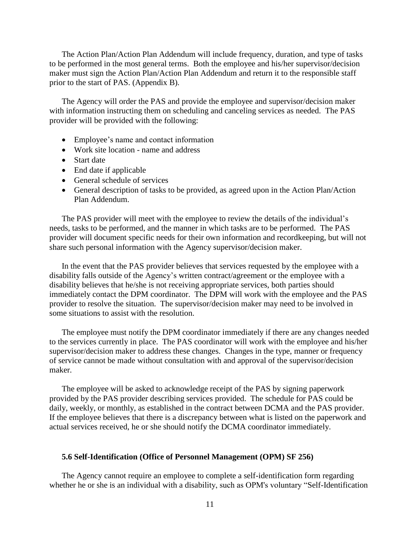The Action Plan/Action Plan Addendum will include frequency, duration, and type of tasks to be performed in the most general terms. Both the employee and his/her supervisor/decision maker must sign the Action Plan/Action Plan Addendum and return it to the responsible staff prior to the start of PAS. (Appendix B).

The Agency will order the PAS and provide the employee and supervisor/decision maker with information instructing them on scheduling and canceling services as needed. The PAS provider will be provided with the following:

- Employee's name and contact information
- Work site location name and address
- Start date
- End date if applicable
- General schedule of services
- General description of tasks to be provided, as agreed upon in the Action Plan/Action Plan Addendum.

The PAS provider will meet with the employee to review the details of the individual's needs, tasks to be performed, and the manner in which tasks are to be performed. The PAS provider will document specific needs for their own information and recordkeeping, but will not share such personal information with the Agency supervisor/decision maker.

In the event that the PAS provider believes that services requested by the employee with a disability falls outside of the Agency's written contract/agreement or the employee with a disability believes that he/she is not receiving appropriate services, both parties should immediately contact the DPM coordinator. The DPM will work with the employee and the PAS provider to resolve the situation. The supervisor/decision maker may need to be involved in some situations to assist with the resolution.

The employee must notify the DPM coordinator immediately if there are any changes needed to the services currently in place. The PAS coordinator will work with the employee and his/her supervisor/decision maker to address these changes. Changes in the type, manner or frequency of service cannot be made without consultation with and approval of the supervisor/decision maker.

The employee will be asked to acknowledge receipt of the PAS by signing paperwork provided by the PAS provider describing services provided. The schedule for PAS could be daily, weekly, or monthly, as established in the contract between DCMA and the PAS provider. If the employee believes that there is a discrepancy between what is listed on the paperwork and actual services received, he or she should notify the DCMA coordinator immediately.

#### <span id="page-10-0"></span>**5.6 Self-Identification (Office of Personnel Management (OPM) SF 256)**

The Agency cannot require an employee to complete a self-identification form regarding whether he or she is an individual with a disability, such as OPM's voluntary "Self-Identification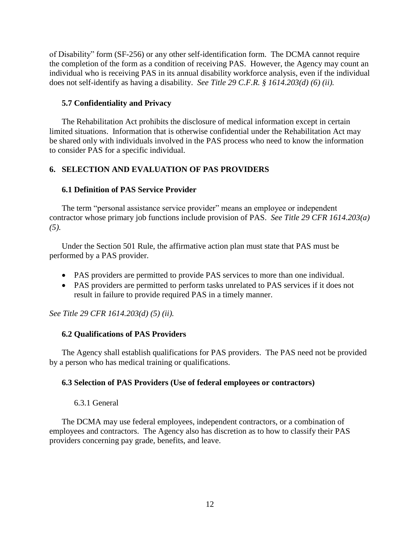of Disability" form (SF-256) or any other self-identification form. The DCMA cannot require the completion of the form as a condition of receiving PAS. However, the Agency may count an individual who is receiving PAS in its annual disability workforce analysis, even if the individual does not self-identify as having a disability. *See Title 29 C.F.R. § 1614.203(d) (6) (ii).*

## <span id="page-11-0"></span>**5.7 Confidentiality and Privacy**

The Rehabilitation Act prohibits the disclosure of medical information except in certain limited situations. Information that is otherwise confidential under the Rehabilitation Act may be shared only with individuals involved in the PAS process who need to know the information to consider PAS for a specific individual.

## <span id="page-11-1"></span>**6. SELECTION AND EVALUATION OF PAS PROVIDERS**

## <span id="page-11-2"></span>**6.1 Definition of PAS Service Provider**

The term "personal assistance service provider" means an employee or independent contractor whose primary job functions include provision of PAS. *See Title 29 CFR 1614.203(a) (5).*

Under the Section 501 Rule, the affirmative action plan must state that PAS must be performed by a PAS provider.

- PAS providers are permitted to provide PAS services to more than one individual.
- PAS providers are permitted to perform tasks unrelated to PAS services if it does not result in failure to provide required PAS in a timely manner.

*See Title 29 CFR 1614.203(d) (5) (ii).*

## <span id="page-11-3"></span>**6.2 Qualifications of PAS Providers**

The Agency shall establish qualifications for PAS providers. The PAS need not be provided by a person who has medical training or qualifications.

## <span id="page-11-4"></span>**6.3 Selection of PAS Providers (Use of federal employees or contractors)**

## 6.3.1 General

<span id="page-11-5"></span>The DCMA may use federal employees, independent contractors, or a combination of employees and contractors. The Agency also has discretion as to how to classify their PAS providers concerning pay grade, benefits, and leave.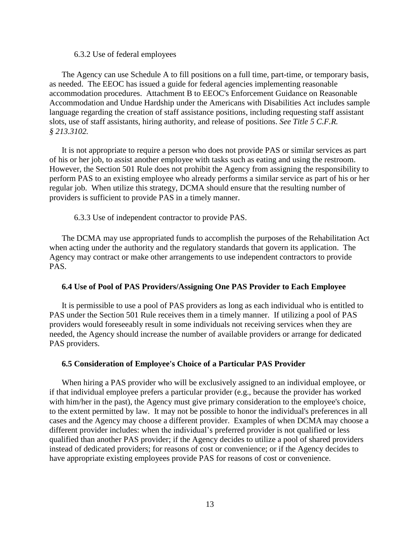6.3.2 Use of federal employees

<span id="page-12-0"></span>The Agency can use Schedule A to fill positions on a full time, part-time, or temporary basis, as needed. The EEOC has issued a guide for federal agencies implementing reasonable accommodation procedures. [Attachment B](http://www.eeoc.gov/policy/docs/implementing_accommodation.pdf) to EEOC's [Enforcement Guidance on Reasonable](https://www.eeoc.gov/policy/docs/accommodation.html#requesting)  [Accommodation and Undue Hardship under the Americans with](https://www.eeoc.gov/policy/docs/accommodation.html#requesting) Disabilities Act includes sample language regarding the creation of staff assistance positions, including requesting staff assistant slots, use of staff assistants, hiring authority, and release of positions. *See Title [5 C.F.R.](http://www.ecfr.gov/cgi-bin/text-idx?rgn=div5&node=5:1.0.1.2.22#se5.1.213_13102)  § [213.3102.](http://www.ecfr.gov/cgi-bin/text-idx?rgn=div5&node=5:1.0.1.2.22#se5.1.213_13102)*

It is not appropriate to require a person who does not provide PAS or similar services as part of his or her job, to assist another employee with tasks such as eating and using the restroom. However, the Section 501 Rule does not prohibit the Agency from assigning the responsibility to perform PAS to an existing employee who already performs a similar service as part of his or her regular job. When utilize this strategy, DCMA should ensure that the resulting number of providers is sufficient to provide PAS in a timely manner.

6.3.3 Use of independent contractor to provide PAS.

<span id="page-12-1"></span>The DCMA may use appropriated funds to accomplish the purposes of the Rehabilitation Act when acting under the authority and the regulatory standards that govern its application. The Agency may contract or make other arrangements to use independent contractors to provide PAS.

#### <span id="page-12-2"></span>**6.4 Use of Pool of PAS Providers/Assigning One PAS Provider to Each Employee**

It is permissible to use a pool of PAS providers as long as each individual who is entitled to PAS under the Section 501 Rule receives them in a timely manner. If utilizing a pool of PAS providers would foreseeably result in some individuals not receiving services when they are needed, the Agency should increase the number of available providers or arrange for dedicated PAS providers.

#### <span id="page-12-3"></span>**6.5 Consideration of Employee's Choice of a Particular PAS Provider**

When hiring a PAS provider who will be exclusively assigned to an individual employee, or if that individual employee prefers a particular provider (e.g., because the provider has worked with him/her in the past), the Agency must give primary consideration to the employee's choice, to the extent permitted by law. It may not be possible to honor the individual's preferences in all cases and the Agency may choose a different provider. Examples of when DCMA may choose a different provider includes: when the individual's preferred provider is not qualified or less qualified than another PAS provider; if the Agency decides to utilize a pool of shared providers instead of dedicated providers; for reasons of cost or convenience; or if the Agency decides to have appropriate existing employees provide PAS for reasons of cost or convenience.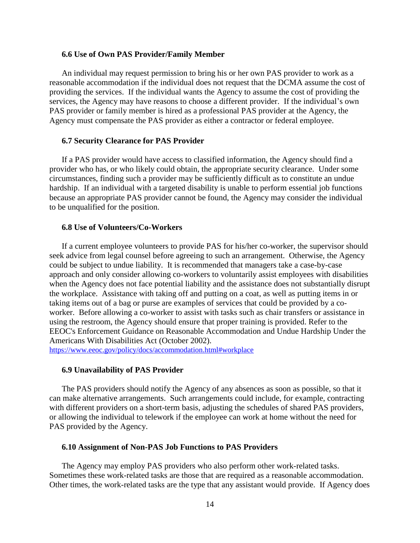#### <span id="page-13-0"></span>**6.6 Use of Own PAS Provider/Family Member**

An individual may request permission to bring his or her own PAS provider to work as a reasonable accommodation if the individual does not request that the DCMA assume the cost of providing the services. If the individual wants the Agency to assume the cost of providing the services, the Agency may have reasons to choose a different provider. If the individual's own PAS provider or family member is hired as a professional PAS provider at the Agency, the Agency must compensate the PAS provider as either a contractor or federal employee.

#### <span id="page-13-1"></span>**6.7 Security Clearance for PAS Provider**

If a PAS provider would have access to classified information, the Agency should find a provider who has, or who likely could obtain, the appropriate security clearance. Under some circumstances, finding such a provider may be sufficiently difficult as to constitute an undue hardship. If an individual with a targeted disability is unable to perform essential job functions because an appropriate PAS provider cannot be found, the Agency may consider the individual to be unqualified for the position.

#### <span id="page-13-2"></span>**6.8 Use of Volunteers/Co-Workers**

If a current employee volunteers to provide PAS for his/her co-worker, the supervisor should seek advice from legal counsel before agreeing to such an arrangement. Otherwise, the Agency could be subject to undue liability. It is recommended that managers take a case-by-case approach and only consider allowing co-workers to voluntarily assist employees with disabilities when the Agency does not face potential liability and the assistance does not substantially disrupt the workplace. Assistance with taking off and putting on a coat, as well as putting items in or taking items out of a bag or purse are examples of services that could be provided by a coworker. Before allowing a co-worker to assist with tasks such as chair transfers or assistance in using the restroom, the Agency should ensure that proper training is provided. Refer to the EEOC's [Enforcement Guidance on Reasonable Accommodation and Undue Hardship Under the](https://www.eeoc.gov/policy/docs/accommodation.html#requesting)  [Americans With Disabilities Act](https://www.eeoc.gov/policy/docs/accommodation.html#requesting) (October 2002).

<https://www.eeoc.gov/policy/docs/accommodation.html#workplace>

#### <span id="page-13-3"></span>**6.9 Unavailability of PAS Provider**

The PAS providers should notify the Agency of any absences as soon as possible, so that it can make alternative arrangements. Such arrangements could include, for example, contracting with different providers on a short-term basis, adjusting the schedules of shared PAS providers, or allowing the individual to telework if the employee can work at home without the need for PAS provided by the Agency.

#### <span id="page-13-4"></span>**6.10 Assignment of Non-PAS Job Functions to PAS Providers**

The Agency may employ PAS providers who also perform other work-related tasks. Sometimes these work-related tasks are those that are required as a reasonable accommodation. Other times, the work-related tasks are the type that any assistant would provide. If Agency does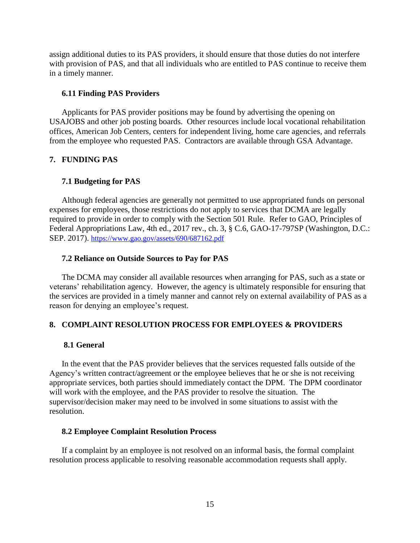assign additional duties to its PAS providers, it should ensure that those duties do not interfere with provision of PAS, and that all individuals who are entitled to PAS continue to receive them in a timely manner.

#### <span id="page-14-0"></span>**6.11 Finding PAS Providers**

Applicants for PAS provider positions may be found by advertising the opening on USAJOBS and other job posting boards. Other resources include local vocational rehabilitation offices, American Job Centers, centers for independent living, home care agencies, and referrals from the employee who requested PAS. Contractors are available through GSA Advantage.

## <span id="page-14-1"></span>**7. FUNDING PAS**

## <span id="page-14-2"></span>**7.1 Budgeting for PAS**

Although federal agencies are generally not permitted to use appropriated funds on personal expenses for employees, those restrictions do not apply to services that DCMA are legally required to provide in order to comply with the Section 501 Rule. Refer to GAO, Principles of Federal Appropriations Law, 4th ed., 2017 rev., ch. 3, § C.6, GAO-17-797SP (Washington, D.C.: SEP. 2017). https://www.gao.gov/assets/690/687162.pdf

## <span id="page-14-3"></span>**7.2 Reliance on Outside Sources to Pay for PAS**

The DCMA may consider all available resources when arranging for PAS, such as a state or veterans' rehabilitation agency. However, the agency is ultimately responsible for ensuring that the services are provided in a timely manner and cannot rely on external availability of PAS as a reason for denying an employee's request.

## <span id="page-14-4"></span>**8. COMPLAINT RESOLUTION PROCESS FOR EMPLOYEES & PROVIDERS**

## <span id="page-14-5"></span>**8.1 General**

In the event that the PAS provider believes that the services requested falls outside of the Agency's written contract/agreement or the employee believes that he or she is not receiving appropriate services, both parties should immediately contact the DPM. The DPM coordinator will work with the employee, and the PAS provider to resolve the situation. The supervisor/decision maker may need to be involved in some situations to assist with the resolution.

## <span id="page-14-6"></span>**8.2 Employee Complaint Resolution Process**

If a complaint by an employee is not resolved on an informal basis, the formal complaint resolution process applicable to resolving reasonable accommodation requests shall apply.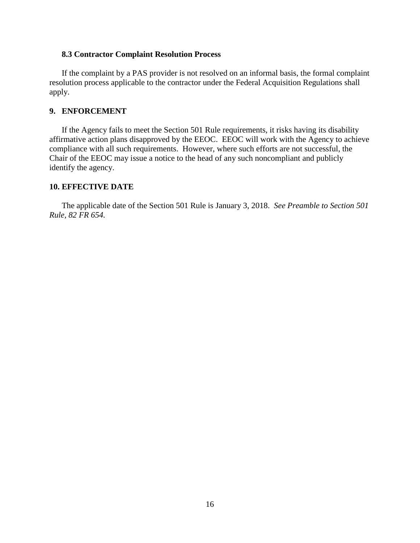## <span id="page-15-0"></span>**8.3 Contractor Complaint Resolution Process**

If the complaint by a PAS provider is not resolved on an informal basis, the formal complaint resolution process applicable to the contractor under the Federal Acquisition Regulations shall apply.

## <span id="page-15-1"></span>**9. ENFORCEMENT**

If the Agency fails to meet the Section 501 Rule requirements, it risks having its disability affirmative action plans disapproved by the EEOC. EEOC will work with the Agency to achieve compliance with all such requirements. However, where such efforts are not successful, the Chair of the EEOC may issue a notice to the head of any such noncompliant and publicly identify the agency.

### <span id="page-15-2"></span>**10. EFFECTIVE DATE**

The applicable date of the Section 501 Rule is January 3, 2018. *See Preamble to Section 501 Rule, 82 FR 654.*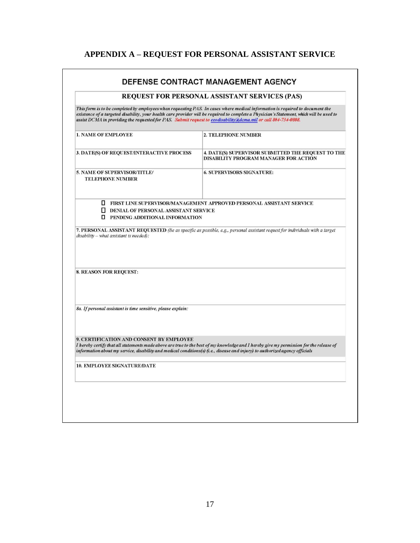# **APPENDIX A – REQUEST FOR PERSONAL ASSISTANT SERVICE**

<span id="page-16-0"></span>

|                                                                                                                                                                          | <b>REQUEST FOR PERSONAL ASSISTANT SERVICES (PAS)</b>                                                                                                                                                                                                                       |
|--------------------------------------------------------------------------------------------------------------------------------------------------------------------------|----------------------------------------------------------------------------------------------------------------------------------------------------------------------------------------------------------------------------------------------------------------------------|
| assist DCMA in providing the requested for PAS. Submit request to eeodisability@dcma.mil or call 804-734-0808.                                                           | This form is to be completed by employees when requesting PAS. In cases where medical information is required to document the<br>existence of a targeted disability, your health care provider will be required to complete a Physician's Statement, which will be used to |
| <b>1. NAME OF EMPLOYEE</b>                                                                                                                                               | <b>2. TELEPHONE NUMBER</b>                                                                                                                                                                                                                                                 |
| 3. DATE(S) OF REQUEST/INTERACTIVE PROCESS                                                                                                                                | 4. DATE(S) SUPERVISOR SUBMITTED THE REQUEST TO THE<br>DISABILITY PROGRAM MANAGER FOR ACTION                                                                                                                                                                                |
| 5. NAME OF SUPERVISOR/TITLE/<br><b>TELEPHONE NUMBER</b>                                                                                                                  | <b>6. SUPERVISORS SIGNATURE:</b>                                                                                                                                                                                                                                           |
| <b>DENIAL OF PERSONAL ASSISTANT SERVICE</b>                                                                                                                              | <b>TERST LINE SUPERVISOR/MANAGEMENT APPROVED PERSONAL ASSISTANT SERVICE</b>                                                                                                                                                                                                |
| <b>I</b> PENDING ADDITIONAL INFORMATION<br>disability - what assistant is needed):                                                                                       | 7. PERSONAL ASSISTANT REQUESTED (Be as specific as possible, e.g., personal assistant request for individuals with a target                                                                                                                                                |
| <b>8. REASON FOR REQUEST:</b>                                                                                                                                            |                                                                                                                                                                                                                                                                            |
| 8a. If personal assistant is time sensitive, please explain:                                                                                                             |                                                                                                                                                                                                                                                                            |
| 9. CERTIFICATION AND CONSENT BY EMPLOYEE<br>information about my service, disability and medical conditions(s) (i.e., disease and injury) to authorized agency officials | I hereby certify that all statements made above are true to the best of my knowledge and I hereby give my permission for the release of                                                                                                                                    |
| <b>10. EMPLOYEE SIGNATURE/DATE</b>                                                                                                                                       |                                                                                                                                                                                                                                                                            |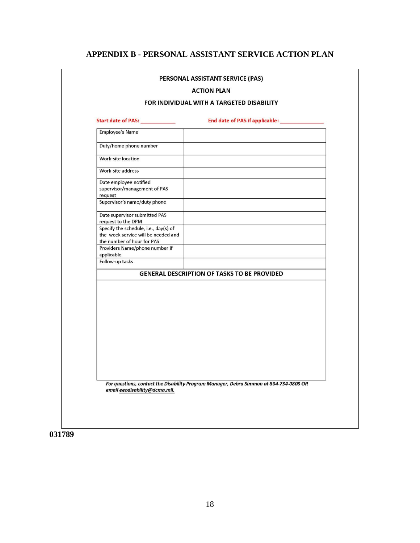## **APPENDIX B - PERSONAL ASSISTANT SERVICE ACTION PLAN**

<span id="page-17-0"></span>

|                                                                                                                                  | <b>ACTION PLAN</b>                                                                     |  |  |
|----------------------------------------------------------------------------------------------------------------------------------|----------------------------------------------------------------------------------------|--|--|
| FOR INDIVIDUAL WITH A TARGETED DISABILITY                                                                                        |                                                                                        |  |  |
|                                                                                                                                  | End date of PAS if applicable: _____________                                           |  |  |
| <b>Employee's Name</b>                                                                                                           |                                                                                        |  |  |
| Duty/home phone number                                                                                                           |                                                                                        |  |  |
| Work-site location                                                                                                               |                                                                                        |  |  |
| Work-site address                                                                                                                |                                                                                        |  |  |
| Date employee notified<br>supervisor/management of PAS<br>request                                                                |                                                                                        |  |  |
| Supervisor's name/duty phone<br>Date supervisor submitted PAS                                                                    |                                                                                        |  |  |
| request to the DPM<br>Specify the schedule, i.e., day(s) of<br>the week service will be needed and<br>the number of hour for PAS |                                                                                        |  |  |
| Providers Name/phone number if<br>applicable                                                                                     |                                                                                        |  |  |
| Follow-up tasks                                                                                                                  |                                                                                        |  |  |
|                                                                                                                                  | <b>GENERAL DESCRIPTION OF TASKS TO BE PROVIDED</b>                                     |  |  |
|                                                                                                                                  |                                                                                        |  |  |
| email eeodisability@dcma.mil.                                                                                                    | For questions, contact the Disability Program Manager, Debra Simmon at 804-734-0808 OR |  |  |